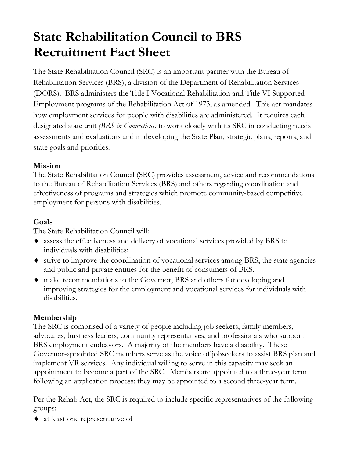# **State Rehabilitation Council to BRS Recruitment Fact Sheet**

The State Rehabilitation Council (SRC) is an important partner with the Bureau of Rehabilitation Services (BRS), a division of the Department of Rehabilitation Services (DORS). BRS administers the Title I Vocational Rehabilitation and Title VI Supported Employment programs of the Rehabilitation Act of 1973, as amended. This act mandates how employment services for people with disabilities are administered. It requires each designated state unit *(BRS in Connecticut)* to work closely with its SRC in conducting needs assessments and evaluations and in developing the State Plan, strategic plans, reports, and state goals and priorities.

## **Mission**

The State Rehabilitation Council (SRC) provides assessment, advice and recommendations to the Bureau of Rehabilitation Services (BRS) and others regarding coordination and effectiveness of programs and strategies which promote community-based competitive employment for persons with disabilities.

## **Goals**

The State Rehabilitation Council will:

- ♦ assess the effectiveness and delivery of vocational services provided by BRS to individuals with disabilities;
- ♦ strive to improve the coordination of vocational services among BRS, the state agencies and public and private entities for the benefit of consumers of BRS.
- ♦ make recommendations to the Governor, BRS and others for developing and improving strategies for the employment and vocational services for individuals with disabilities.

## **Membership**

The SRC is comprised of a variety of people including job seekers, family members, advocates, business leaders, community representatives, and professionals who support BRS employment endeavors. A majority of the members have a disability. These Governor-appointed SRC members serve as the voice of jobseekers to assist BRS plan and implement VR services. Any individual willing to serve in this capacity may seek an appointment to become a part of the SRC. Members are appointed to a three-year term following an application process; they may be appointed to a second three-year term.

Per the Rehab Act, the SRC is required to include specific representatives of the following groups:

♦ at least one representative of